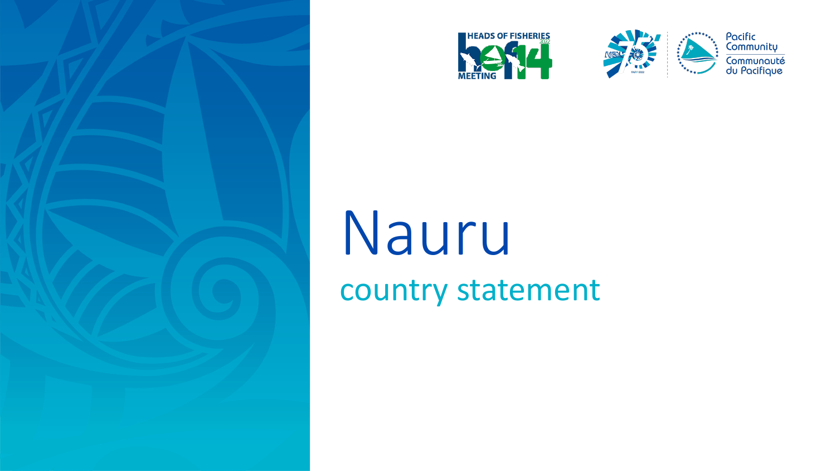





Pacific<br>Community Communauté<br>du Pacifique

## Nauru country statement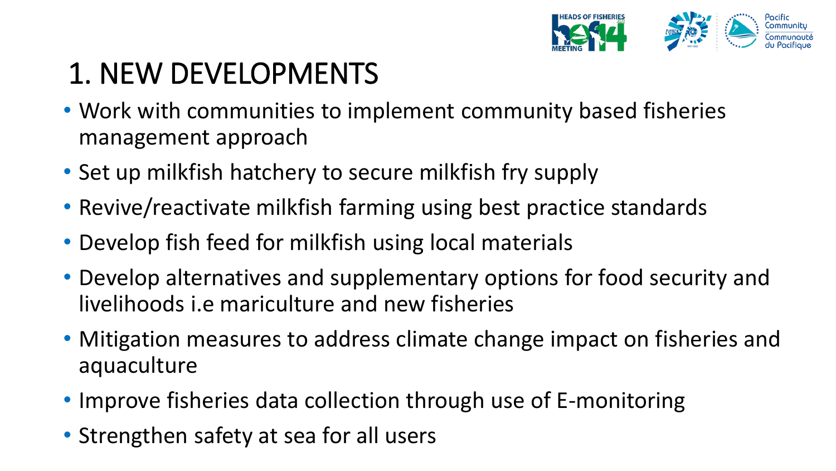

## 1. NEW DEVELOPMENTS

- Work with communities to implement community based fisheries management approach
- Set up milkfish hatchery to secure milkfish fry supply
- Revive/reactivate milkfish farming using best practice standards
- Develop fish feed for milkfish using local materials
- Develop alternatives and supplementary options for food security and livelihoods i.e mariculture and new fisheries
- Mitigation measures to address climate change impact on fisheries and aquaculture
- Improve fisheries data collection through use of E-monitoring
- Strengthen safety at sea for all users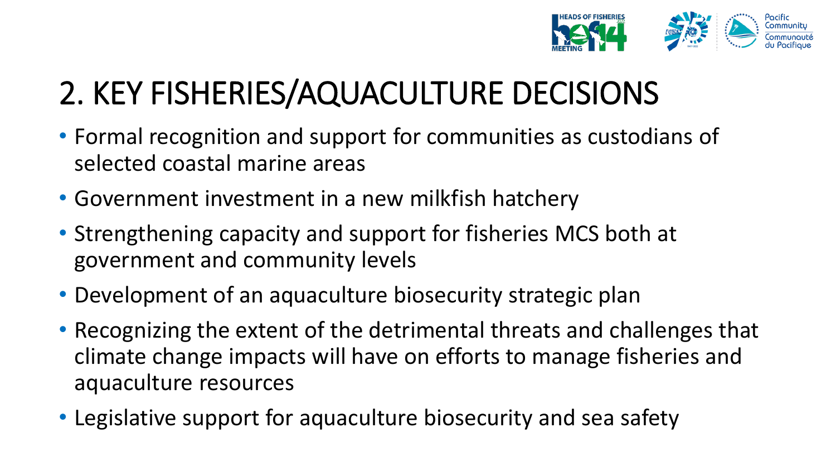

## 2. KEY FISHERIES/AQUACULTURE DECISIONS

- Formal recognition and support for communities as custodians of selected coastal marine areas
- Government investment in a new milkfish hatchery
- Strengthening capacity and support for fisheries MCS both at government and community levels
- Development of an aquaculture biosecurity strategic plan
- Recognizing the extent of the detrimental threats and challenges that climate change impacts will have on efforts to manage fisheries and aquaculture resources
- Legislative support for aquaculture biosecurity and sea safety